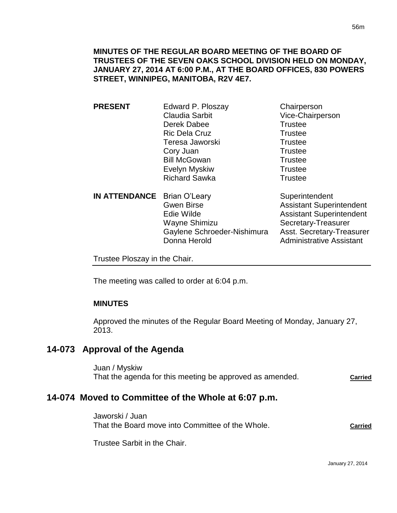| <b>PRESENT</b>                     | Edward P. Ploszay     | Chairperson      |
|------------------------------------|-----------------------|------------------|
|                                    | <b>Claudia Sarbit</b> | Vice-Chairperson |
|                                    | Derek Dabee           | <b>Trustee</b>   |
|                                    | <b>Ric Dela Cruz</b>  | <b>Trustee</b>   |
|                                    | Teresa Jaworski       | <b>Trustee</b>   |
|                                    | Cory Juan             | <b>Trustee</b>   |
|                                    | <b>Bill McGowan</b>   | <b>Trustee</b>   |
|                                    | Evelyn Myskiw         | <b>Trustee</b>   |
|                                    | <b>Richard Sawka</b>  | <b>Trustee</b>   |
| <b>IN ATTENDANCE</b> Brian O'Leary |                       | Superintendent   |

| <b>IN ATTENDANCE Brian O'Leary</b> |                             |
|------------------------------------|-----------------------------|
|                                    | <b>Gwen Birse</b>           |
|                                    | Edie Wilde                  |
|                                    | Wayne Shimizu               |
|                                    | Gaylene Schroeder-Nishimura |
|                                    | Donna Herold                |
|                                    |                             |

Assistant Superintendent **Assistant Superintendent** Secretary-Treasurer Asst. Secretary-Treasurer **Administrative Assistant** 

Trustee Ploszay in the Chair.

The meeting was called to order at 6:04 p.m.

# **MINUTES**

Approved the minutes of the Regular Board Meeting of Monday, January 27, 2013.

# **14-073 Approval of the Agenda**

Juan / Myskiw That the agenda for this meeting be approved as amended. **Carried**

# **14-074 Moved to Committee of the Whole at 6:07 p.m.**

Jaworski / Juan That the Board move into Committee of the Whole. **Carried**

Trustee Sarbit in the Chair.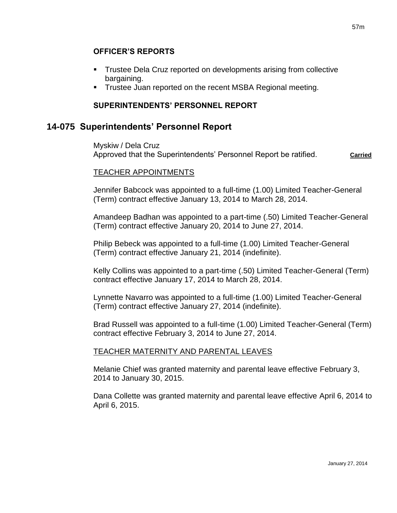- Trustee Dela Cruz reported on developments arising from collective bargaining.
- **Trustee Juan reported on the recent MSBA Regional meeting.**

# **SUPERINTENDENTS' PERSONNEL REPORT**

# **14-075 Superintendents' Personnel Report**

Myskiw / Dela Cruz Approved that the Superintendents' Personnel Report be ratified. **Carried** 

# TEACHER APPOINTMENTS

Jennifer Babcock was appointed to a full-time (1.00) Limited Teacher-General (Term) contract effective January 13, 2014 to March 28, 2014.

Amandeep Badhan was appointed to a part-time (.50) Limited Teacher-General (Term) contract effective January 20, 2014 to June 27, 2014.

Philip Bebeck was appointed to a full-time (1.00) Limited Teacher-General (Term) contract effective January 21, 2014 (indefinite).

Kelly Collins was appointed to a part-time (.50) Limited Teacher-General (Term) contract effective January 17, 2014 to March 28, 2014.

Lynnette Navarro was appointed to a full-time (1.00) Limited Teacher-General (Term) contract effective January 27, 2014 (indefinite).

Brad Russell was appointed to a full-time (1.00) Limited Teacher-General (Term) contract effective February 3, 2014 to June 27, 2014.

# TEACHER MATERNITY AND PARENTAL LEAVES

Melanie Chief was granted maternity and parental leave effective February 3, 2014 to January 30, 2015.

Dana Collette was granted maternity and parental leave effective April 6, 2014 to April 6, 2015.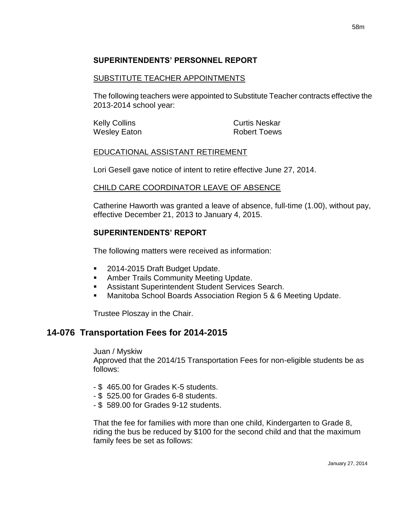# **SUPERINTENDENTS' PERSONNEL REPORT**

#### SUBSTITUTE TEACHER APPOINTMENTS

The following teachers were appointed to Substitute Teacher contracts effective the 2013-2014 school year:

Kelly Collins **Curtis Neskar** Wesley Eaton **Robert Toews** 

#### EDUCATIONAL ASSISTANT RETIREMENT

Lori Gesell gave notice of intent to retire effective June 27, 2014.

#### CHILD CARE COORDINATOR LEAVE OF ABSENCE

Catherine Haworth was granted a leave of absence, full-time (1.00), without pay, effective December 21, 2013 to January 4, 2015.

### **SUPERINTENDENTS' REPORT**

The following matters were received as information:

- 2014-2015 Draft Budget Update.
- **Amber Trails Community Meeting Update.**
- **Assistant Superintendent Student Services Search.**
- **Manitoba School Boards Association Region 5 & 6 Meeting Update.**

Trustee Ploszay in the Chair.

# **14-076 Transportation Fees for 2014-2015**

Juan / Myskiw

Approved that the 2014/15 Transportation Fees for non-eligible students be as follows:

- \$ 465.00 for Grades K-5 students.
- \$ 525.00 for Grades 6-8 students.
- \$ 589.00 for Grades 9-12 students.

That the fee for families with more than one child, Kindergarten to Grade 8, riding the bus be reduced by \$100 for the second child and that the maximum family fees be set as follows: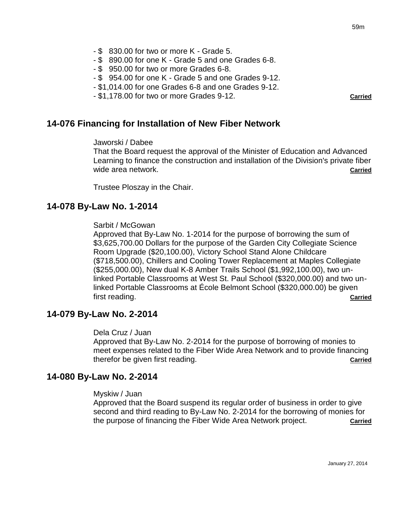- \$ 830.00 for two or more K Grade 5.
- \$ 890.00 for one K Grade 5 and one Grades 6-8.
- \$ 950.00 for two or more Grades 6-8.
- \$ 954.00 for one K Grade 5 and one Grades 9-12.
- \$1,014.00 for one Grades 6-8 and one Grades 9-12.
- \$1,178.00 for two or more Grades 9-12. **Carried**

### **14-076 Financing for Installation of New Fiber Network**

#### Jaworski / Dabee

That the Board request the approval of the Minister of Education and Advanced Learning to finance the construction and installation of the Division's private fiber wide area network. **Carried Carried Carried Carried Carried Carried Carried** 

Trustee Ploszay in the Chair.

### **14-078 By-Law No. 1-2014**

#### Sarbit / McGowan

Approved that By-Law No. 1-2014 for the purpose of borrowing the sum of \$3,625,700.00 Dollars for the purpose of the Garden City Collegiate Science Room Upgrade (\$20,100.00), Victory School Stand Alone Childcare (\$718,500.00), Chillers and Cooling Tower Replacement at Maples Collegiate (\$255,000.00), New dual K-8 Amber Trails School (\$1,992,100.00), two unlinked Portable Classrooms at West St. Paul School (\$320,000.00) and two unlinked Portable Classrooms at École Belmont School (\$320,000.00) be given first reading. **Carried**

### **14-079 By-Law No. 2-2014**

#### Dela Cruz / Juan

Approved that By-Law No. 2-2014 for the purpose of borrowing of monies to meet expenses related to the Fiber Wide Area Network and to provide financing therefor be given first reading. **Carried**

### **14-080 By-Law No. 2-2014**

#### Myskiw / Juan

Approved that the Board suspend its regular order of business in order to give second and third reading to By-Law No. 2-2014 for the borrowing of monies for the purpose of financing the Fiber Wide Area Network project. **Carried**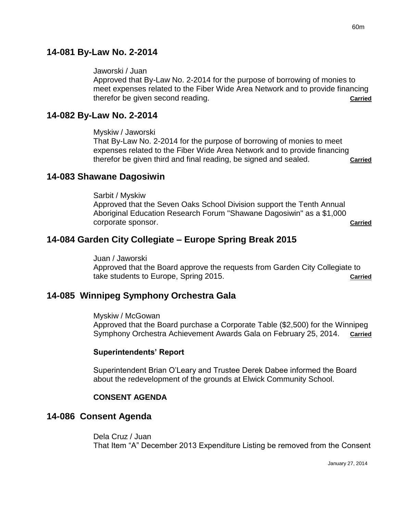# **14-081 By-Law No. 2-2014**

#### Jaworski / Juan

Approved that By-Law No. 2-2014 for the purpose of borrowing of monies to meet expenses related to the Fiber Wide Area Network and to provide financing therefor be given second reading. **Carried**

### **14-082 By-Law No. 2-2014**

Myskiw / Jaworski

That By-Law No. 2-2014 for the purpose of borrowing of monies to meet expenses related to the Fiber Wide Area Network and to provide financing therefor be given third and final reading, be signed and sealed. **Carried**

### **14-083 Shawane Dagosiwin**

Sarbit / Myskiw Approved that the Seven Oaks School Division support the Tenth Annual Aboriginal Education Research Forum "Shawane Dagosiwin" as a \$1,000 corporate sponsor. **Carried**

# **14-084 Garden City Collegiate – Europe Spring Break 2015**

Juan / Jaworski Approved that the Board approve the requests from Garden City Collegiate to take students to Europe, Spring 2015. **Carried**

# **14-085 Winnipeg Symphony Orchestra Gala**

Myskiw / McGowan

Approved that the Board purchase a Corporate Table (\$2,500) for the Winnipeg Symphony Orchestra Achievement Awards Gala on February 25, 2014. **Carried**

### **Superintendents' Report**

Superintendent Brian O'Leary and Trustee Derek Dabee informed the Board about the redevelopment of the grounds at Elwick Community School.

### **CONSENT AGENDA**

# **14-086 Consent Agenda**

Dela Cruz / Juan That Item "A" December 2013 Expenditure Listing be removed from the Consent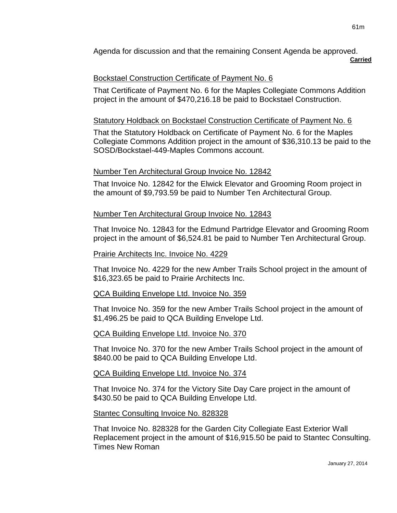Agenda for discussion and that the remaining Consent Agenda be approved. **Carried**

# Bockstael Construction Certificate of Payment No. 6

That Certificate of Payment No. 6 for the Maples Collegiate Commons Addition project in the amount of \$470,216.18 be paid to Bockstael Construction.

# Statutory Holdback on Bockstael Construction Certificate of Payment No. 6

That the Statutory Holdback on Certificate of Payment No. 6 for the Maples Collegiate Commons Addition project in the amount of \$36,310.13 be paid to the SOSD/Bockstael-449-Maples Commons account.

# Number Ten Architectural Group Invoice No. 12842

That Invoice No. 12842 for the Elwick Elevator and Grooming Room project in the amount of \$9,793.59 be paid to Number Ten Architectural Group.

# Number Ten Architectural Group Invoice No. 12843

That Invoice No. 12843 for the Edmund Partridge Elevator and Grooming Room project in the amount of \$6,524.81 be paid to Number Ten Architectural Group.

### Prairie Architects Inc. Invoice No. 4229

That Invoice No. 4229 for the new Amber Trails School project in the amount of \$16,323.65 be paid to Prairie Architects Inc.

# QCA Building Envelope Ltd. Invoice No. 359

That Invoice No. 359 for the new Amber Trails School project in the amount of \$1,496.25 be paid to QCA Building Envelope Ltd.

# QCA Building Envelope Ltd. Invoice No. 370

That Invoice No. 370 for the new Amber Trails School project in the amount of \$840.00 be paid to QCA Building Envelope Ltd.

# QCA Building Envelope Ltd. Invoice No. 374

That Invoice No. 374 for the Victory Site Day Care project in the amount of \$430.50 be paid to QCA Building Envelope Ltd.

# Stantec Consulting Invoice No. 828328

That Invoice No. 828328 for the Garden City Collegiate East Exterior Wall Replacement project in the amount of \$16,915.50 be paid to Stantec Consulting. Times New Roman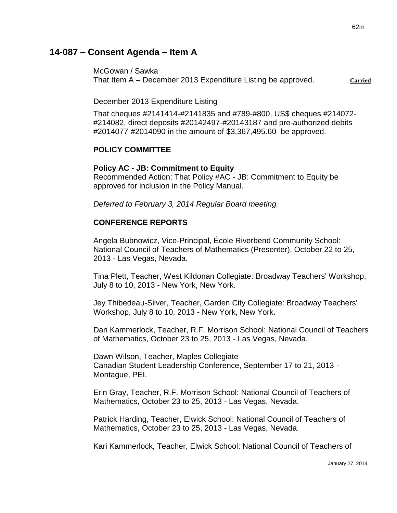# **14-087 – Consent Agenda – Item A**

McGowan / Sawka That Item A – December 2013 Expenditure Listing be approved. **Carried**

December 2013 Expenditure Listing

That cheques #2141414-#2141835 and #789-#800, US\$ cheques #214072- #214082, direct deposits #20142497-#20143187 and pre-authorized debits #2014077-#2014090 in the amount of \$3,367,495.60 be approved.

# **POLICY COMMITTEE**

### **Policy AC - JB: Commitment to Equity**

Recommended Action: That Policy #AC - JB: Commitment to Equity be approved for inclusion in the Policy Manual.

*Deferred to February 3, 2014 Regular Board meeting.*

### **CONFERENCE REPORTS**

Angela Bubnowicz, Vice-Principal, École Riverbend Community School: National Council of Teachers of Mathematics (Presenter), October 22 to 25, 2013 - Las Vegas, Nevada.

Tina Plett, Teacher, West Kildonan Collegiate: Broadway Teachers' Workshop, July 8 to 10, 2013 - New York, New York.

Jey Thibedeau-Silver, Teacher, Garden City Collegiate: Broadway Teachers' Workshop, July 8 to 10, 2013 - New York, New York.

Dan Kammerlock, Teacher, R.F. Morrison School: National Council of Teachers of Mathematics, October 23 to 25, 2013 - Las Vegas, Nevada.

Dawn Wilson, Teacher, Maples Collegiate Canadian Student Leadership Conference, September 17 to 21, 2013 - Montague, PEI.

Erin Gray, Teacher, R.F. Morrison School: National Council of Teachers of Mathematics, October 23 to 25, 2013 - Las Vegas, Nevada.

Patrick Harding, Teacher, Elwick School: National Council of Teachers of Mathematics, October 23 to 25, 2013 - Las Vegas, Nevada.

Kari Kammerlock, Teacher, Elwick School: National Council of Teachers of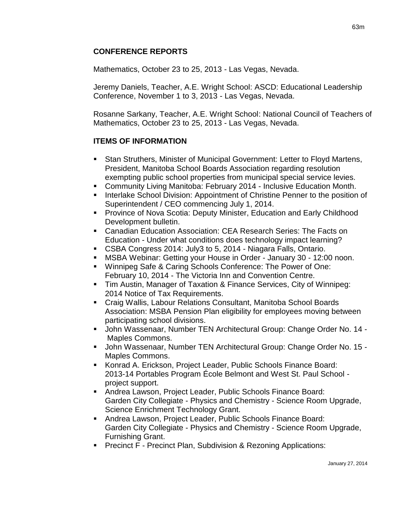# **CONFERENCE REPORTS**

Mathematics, October 23 to 25, 2013 - Las Vegas, Nevada.

Jeremy Daniels, Teacher, A.E. Wright School: ASCD: Educational Leadership Conference, November 1 to 3, 2013 - Las Vegas, Nevada.

Rosanne Sarkany, Teacher, A.E. Wright School: National Council of Teachers of Mathematics, October 23 to 25, 2013 - Las Vegas, Nevada.

### **ITEMS OF INFORMATION**

- Stan Struthers, Minister of Municipal Government: Letter to Floyd Martens, President, Manitoba School Boards Association regarding resolution exempting public school properties from municipal special service levies.
- Community Living Manitoba: February 2014 Inclusive Education Month.
- Interlake School Division: Appointment of Christine Penner to the position of Superintendent / CEO commencing July 1, 2014.
- Province of Nova Scotia: Deputy Minister, Education and Early Childhood Development bulletin.
- Canadian Education Association: CEA Research Series: The Facts on Education - Under what conditions does technology impact learning?
- CSBA Congress 2014: July3 to 5, 2014 Niagara Falls, Ontario.
- MSBA Webinar: Getting your House in Order January 30 12:00 noon.
- Winnipeg Safe & Caring Schools Conference: The Power of One: February 10, 2014 - The Victoria Inn and Convention Centre.
- Tim Austin, Manager of Taxation & Finance Services, City of Winnipeg: 2014 Notice of Tax Requirements.
- Craig Wallis, Labour Relations Consultant, Manitoba School Boards Association: MSBA Pension Plan eligibility for employees moving between participating school divisions.
- John Wassenaar, Number TEN Architectural Group: Change Order No. 14 Maples Commons.
- John Wassenaar, Number TEN Architectural Group: Change Order No. 15 Maples Commons.
- Konrad A. Erickson, Project Leader, Public Schools Finance Board: 2013-14 Portables Program École Belmont and West St. Paul School project support.
- Andrea Lawson, Project Leader, Public Schools Finance Board: Garden City Collegiate - Physics and Chemistry - Science Room Upgrade, Science Enrichment Technology Grant.
- Andrea Lawson, Project Leader, Public Schools Finance Board: Garden City Collegiate - Physics and Chemistry - Science Room Upgrade, Furnishing Grant.
- **Precinct F Precinct Plan, Subdivision & Rezoning Applications:**